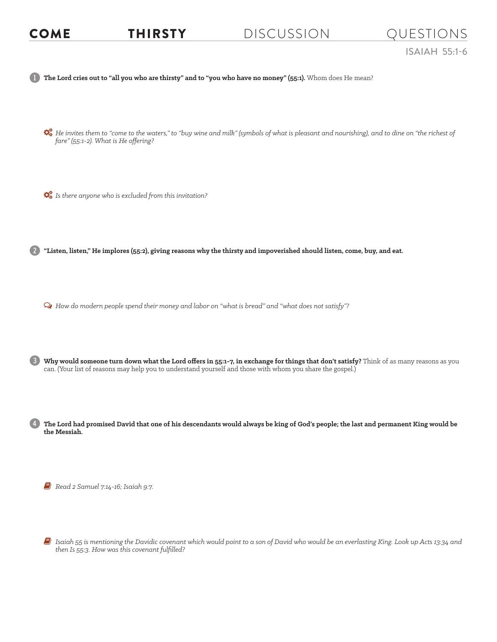## COME THIRSTY DISCUSSION QUESTIONS

1 **The Lord cries out to "all you who are thirsty" and to "you who have no money" (55:1).** Whom does He mean? *He invites them to "come to the waters," to "buy wine and milk" (symbols of what is pleasant and nourishing), and to dine on "the richest of fare" (55:1-2). What is He offering?*   $\mathbb{Q}_8^8$  *Is there anyone who is excluded from this invitation?* 2 **"Listen, listen," He implores (55:2), giving reasons why the thirsty and impoverished should listen, come, buy, and eat.**  Ø *How do modern people spend their money and labor on "what is bread" and "what does not satisfy"?* 3 **Why would someone turn down what the Lord offers in 55:1-7, in exchange for things that don't satisfy?** Think of as many reasons as you can. (Your list of reasons may help you to understand yourself and those with whom you share the gospel.) 4 **The Lord had promised David that one of his descendants would always be king of God's people; the last and permanent King would be the Messiah.**

6 *Read 2 Samuel 7:14-16; Isaiah 9:7.* 

6 *Isaiah 55 is mentioning the Davidic covenant which would point to a son of David who would be an everlasting King. Look up Acts 13:34 and then Is 55:3. How was this covenant fulfilled?*